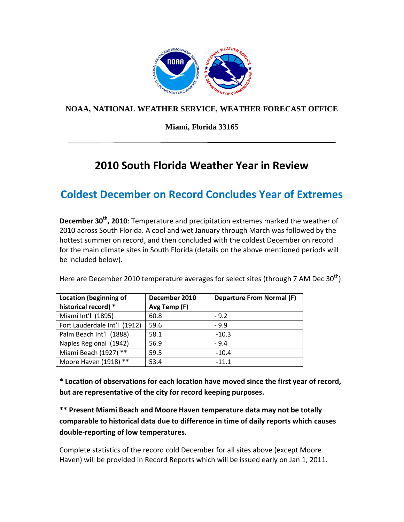

# **NOAA, NATIONAL WEATHER SERVICE, WEATHER FORECAST OFFICE**

# **Miami, Florida 33165**

# **2010 South Florida Weather Year in Review**

# **Coldest December on Record Concludes Year of Extremes**

**December 30th, 2010**: Temperature and precipitation extremes marked the weather of 2010 across South Florida. A cool and wet January through March was followed by the hottest summer on record, and then concluded with the coldest December on record for the main climate sites in South Florida (details on the above mentioned periods will be included below).

| <b>Location (beginning of</b> | December 2010 | <b>Departure From Normal (F)</b> |
|-------------------------------|---------------|----------------------------------|
| historical record) *          | Avg Temp (F)  |                                  |
| Miami Int'l (1895)            | 60.8          | $-9.2$                           |
| Fort Lauderdale Int'l (1912)  | 59.6          | $-9.9$                           |
| Palm Beach Int'l (1888)       | 58.1          | $-10.3$                          |
| Naples Regional (1942)        | 56.9          | $-9.4$                           |
| Miami Beach (1927) **         | 59.5          | $-10.4$                          |
| Moore Haven (1918) **         | 53.4          | $-11.1$                          |

Here are December 2010 temperature averages for select sites (through 7 AM Dec  $30<sup>th</sup>$ ):

**\* Location of observations for each location have moved since the first year of record, but are representative of the city for record keeping purposes.**

**\*\* Present Miami Beach and Moore Haven temperature data may not be totally comparable to historical data due to difference in time of daily reports which causes double-reporting of low temperatures.**

Complete statistics of the record cold December for all sites above (except Moore Haven) will be provided in Record Reports which will be issued early on Jan 1, 2011.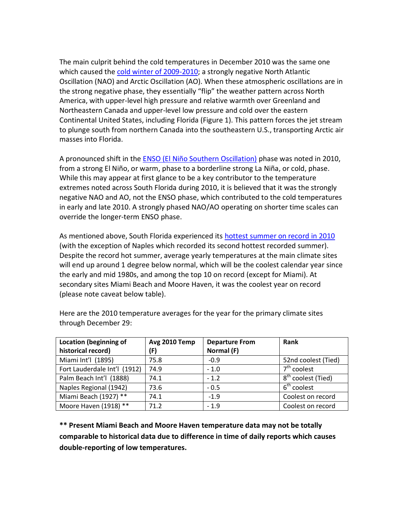The main culprit behind the cold temperatures in December 2010 was the same one which caused the [cold winter of 2009-2010;](http://www.srh.noaa.gov/images/mfl/news/Mar2010Summary.pdf) a strongly negative North Atlantic Oscillation (NAO) and Arctic Oscillation (AO). When these atmospheric oscillations are in the strong negative phase, they essentially "flip" the weather pattern across North America, with upper-level high pressure and relative warmth over Greenland and Northeastern Canada and upper-level low pressure and cold over the eastern Continental United States, including Florida (Figure 1). This pattern forces the jet stream to plunge south from northern Canada into the southeastern U.S., transporting Arctic air masses into Florida.

A pronounced shift in the [ENSO \(El Niño Southern Oscillation\)](http://www.srh.noaa.gov/mfl/?n=winteroutlookforsouthflorida) phase was noted in 2010, from a strong El Niño, or warm, phase to a borderline strong La Niña, or cold, phase. While this may appear at first glance to be a key contributor to the temperature extremes noted across South Florida during 2010, it is believed that it was the strongly negative NAO and AO, not the ENSO phase, which contributed to the cold temperatures in early and late 2010. A strongly phased NAO/AO operating on shorter time scales can override the longer-term ENSO phase.

As mentioned above, South Florida experienced its [hottest summer on record in 2010](http://www.srh.noaa.gov/images/mfl/news/Aug2010SummerWebArticle.pdf) (with the exception of Naples which recorded its second hottest recorded summer). Despite the record hot summer, average yearly temperatures at the main climate sites will end up around 1 degree below normal, which will be the coolest calendar year since the early and mid 1980s, and among the top 10 on record (except for Miami). At secondary sites Miami Beach and Moore Haven, it was the coolest year on record (please note caveat below table).

| <b>Location (beginning of</b> | Avg 2010 Temp | <b>Departure From</b> | Rank                           |
|-------------------------------|---------------|-----------------------|--------------------------------|
| historical record)            | (F)           | Normal (F)            |                                |
| Miami Int'l (1895)            | 75.8          | $-0.9$                | 52nd coolest (Tied)            |
| Fort Lauderdale Int'l (1912)  | 74.9          | $-1.0$                | $7th$ coolest                  |
| Palm Beach Int'l (1888)       | 74.1          | $-1.2$                | 8 <sup>th</sup> coolest (Tied) |
| Naples Regional (1942)        | 73.6          | $-0.5$                | $6th$ coolest                  |
| Miami Beach (1927) **         | 74.1          | $-1.9$                | Coolest on record              |
| Moore Haven (1918) **         | 71.2          | $-1.9$                | Coolest on record              |

Here are the 2010 temperature averages for the year for the primary climate sites through December 29:

**\*\* Present Miami Beach and Moore Haven temperature data may not be totally comparable to historical data due to difference in time of daily reports which causes double-reporting of low temperatures.**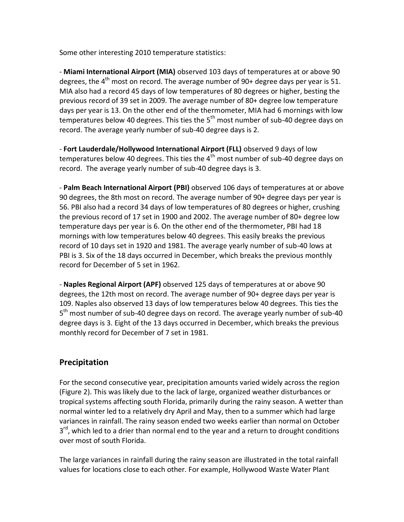Some other interesting 2010 temperature statistics:

- **Miami International Airport (MIA)** observed 103 days of temperatures at or above 90 degrees, the 4<sup>th</sup> most on record. The average number of 90+ degree days per year is 51. MIA also had a record 45 days of low temperatures of 80 degrees or higher, besting the previous record of 39 set in 2009. The average number of 80+ degree low temperature days per year is 13. On the other end of the thermometer, MIA had 6 mornings with low temperatures below 40 degrees. This ties the 5<sup>th</sup> most number of sub-40 degree days on record. The average yearly number of sub-40 degree days is 2.

- **Fort Lauderdale/Hollywood International Airport (FLL)** observed 9 days of low temperatures below 40 degrees. This ties the  $4<sup>th</sup>$  most number of sub-40 degree days on record. The average yearly number of sub-40 degree days is 3.

- **Palm Beach International Airport (PBI)** observed 106 days of temperatures at or above 90 degrees, the 8th most on record. The average number of 90+ degree days per year is 56. PBI also had a record 34 days of low temperatures of 80 degrees or higher, crushing the previous record of 17 set in 1900 and 2002. The average number of 80+ degree low temperature days per year is 6. On the other end of the thermometer, PBI had 18 mornings with low temperatures below 40 degrees. This easily breaks the previous record of 10 days set in 1920 and 1981. The average yearly number of sub-40 lows at PBI is 3. Six of the 18 days occurred in December, which breaks the previous monthly record for December of 5 set in 1962.

- **Naples Regional Airport (APF)** observed 125 days of temperatures at or above 90 degrees, the 12th most on record. The average number of 90+ degree days per year is 109. Naples also observed 13 days of low temperatures below 40 degrees. This ties the 5<sup>th</sup> most number of sub-40 degree days on record. The average yearly number of sub-40 degree days is 3. Eight of the 13 days occurred in December, which breaks the previous monthly record for December of 7 set in 1981.

# **Precipitation**

For the second consecutive year, precipitation amounts varied widely across the region (Figure 2). This was likely due to the lack of large, organized weather disturbances or tropical systems affecting south Florida, primarily during the rainy season. A wetter than normal winter led to a relatively dry April and May, then to a summer which had large variances in rainfall. The rainy season ended two weeks earlier than normal on October 3<sup>rd</sup>, which led to a drier than normal end to the year and a return to drought conditions over most of south Florida.

The large variances in rainfall during the rainy season are illustrated in the total rainfall values for locations close to each other. For example, Hollywood Waste Water Plant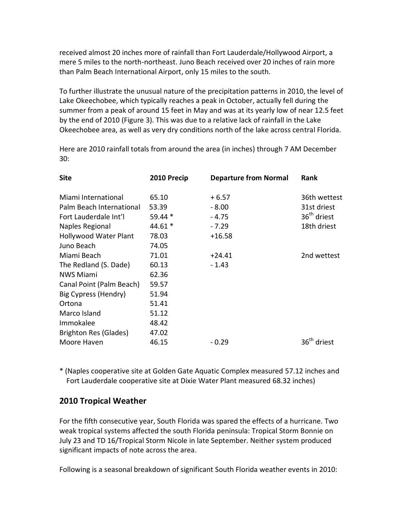received almost 20 inches more of rainfall than Fort Lauderdale/Hollywood Airport, a mere 5 miles to the north-northeast. Juno Beach received over 20 inches of rain more than Palm Beach International Airport, only 15 miles to the south.

To further illustrate the unusual nature of the precipitation patterns in 2010, the level of Lake Okeechobee, which typically reaches a peak in October, actually fell during the summer from a peak of around 15 feet in May and was at its yearly low of near 12.5 feet by the end of 2010 (Figure 3). This was due to a relative lack of rainfall in the Lake Okeechobee area, as well as very dry conditions north of the lake across central Florida.

Here are 2010 rainfall totals from around the area (in inches) through 7 AM December 30:

| <b>Site</b>                  | 2010 Precip | <b>Departure from Normal</b> | Rank                    |
|------------------------------|-------------|------------------------------|-------------------------|
| Miami International          | 65.10       | $+6.57$                      | 36th wettest            |
| Palm Beach International     | 53.39       | $-8.00$                      | 31st driest             |
| Fort Lauderdale Int'l        | 59.44 *     | $-4.75$                      | $36th$ driest           |
| Naples Regional              | 44.61 *     | $-7.29$                      | 18th driest             |
| <b>Hollywood Water Plant</b> | 78.03       | $+16.58$                     |                         |
| Juno Beach                   | 74.05       |                              |                         |
| Miami Beach                  | 71.01       | $+24.41$                     | 2nd wettest             |
| The Redland (S. Dade)        | 60.13       | $-1.43$                      |                         |
| NWS Miami                    | 62.36       |                              |                         |
| Canal Point (Palm Beach)     | 59.57       |                              |                         |
| Big Cypress (Hendry)         | 51.94       |                              |                         |
| Ortona                       | 51.41       |                              |                         |
| Marco Island                 | 51.12       |                              |                         |
| Immokalee                    | 48.42       |                              |                         |
| Brighton Res (Glades)        | 47.02       |                              |                         |
| Moore Haven                  | 46.15       | $-0.29$                      | $36^{\text{th}}$ driest |

\* (Naples cooperative site at Golden Gate Aquatic Complex measured 57.12 inches and Fort Lauderdale cooperative site at Dixie Water Plant measured 68.32 inches)

# **2010 Tropical Weather**

For the fifth consecutive year, South Florida was spared the effects of a hurricane. Two weak tropical systems affected the south Florida peninsula: Tropical Storm Bonnie on July 23 and TD 16/Tropical Storm Nicole in late September. Neither system produced significant impacts of note across the area.

Following is a seasonal breakdown of significant South Florida weather events in 2010: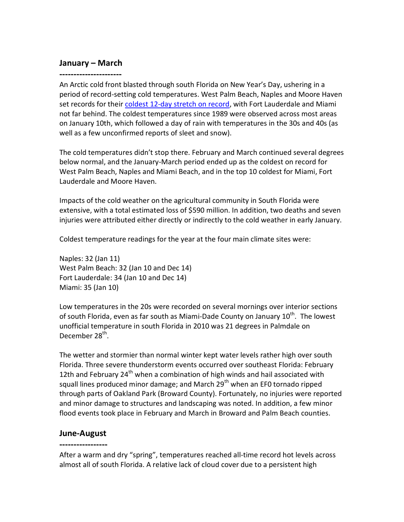# **January – March**

# **----------------------**

An Arctic cold front blasted through south Florida on New Year's Day, ushering in a period of record-setting cold temperatures. West Palm Beach, Naples and Moore Haven set records for their [coldest 12-day stretch on record,](http://www.srh.noaa.gov/images/mfl/news/January2010Summary.pdf) with Fort Lauderdale and Miami not far behind. The coldest temperatures since 1989 were observed across most areas on January 10th, which followed a day of rain with temperatures in the 30s and 40s (as well as a few unconfirmed reports of sleet and snow).

The cold temperatures didn't stop there. February and March continued several degrees below normal, and the January-March period ended up as the coldest on record for West Palm Beach, Naples and Miami Beach, and in the top 10 coldest for Miami, Fort Lauderdale and Moore Haven.

Impacts of the cold weather on the agricultural community in South Florida were extensive, with a total estimated loss of \$590 million. In addition, two deaths and seven injuries were attributed either directly or indirectly to the cold weather in early January.

Coldest temperature readings for the year at the four main climate sites were:

Naples: 32 (Jan 11) West Palm Beach: 32 (Jan 10 and Dec 14) Fort Lauderdale: 34 (Jan 10 and Dec 14) Miami: 35 (Jan 10)

Low temperatures in the 20s were recorded on several mornings over interior sections of south Florida, even as far south as Miami-Dade County on January  $10^{\text{th}}$ . The lowest unofficial temperature in south Florida in 2010 was 21 degrees in Palmdale on December 28<sup>th</sup>.

The wetter and stormier than normal winter kept water levels rather high over south Florida. Three severe thunderstorm events occurred over southeast Florida: February 12th and February  $24^{th}$  when a combination of high winds and hail associated with squall lines produced minor damage; and March 29<sup>th</sup> when an EF0 tornado ripped through parts of Oakland Park (Broward County). Fortunately, no injuries were reported and minor damage to structures and landscaping was noted. In addition, a few minor flood events took place in February and March in Broward and Palm Beach counties.

#### **June-August**

# **-----------------**

After a warm and dry "spring", temperatures reached all-time record hot levels across almost all of south Florida. A relative lack of cloud cover due to a persistent high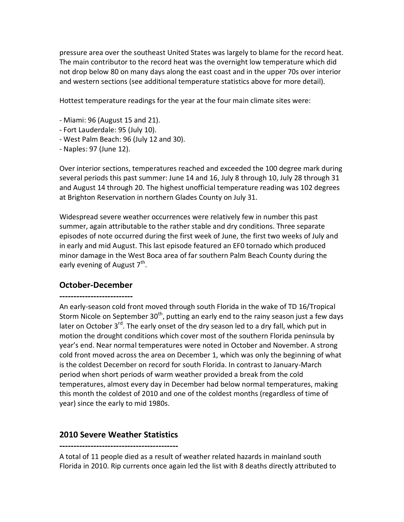pressure area over the southeast United States was largely to blame for the record heat. The main contributor to the record heat was the overnight low temperature which did not drop below 80 on many days along the east coast and in the upper 70s over interior and western sections (see additional temperature statistics above for more detail).

Hottest temperature readings for the year at the four main climate sites were:

- Miami: 96 (August 15 and 21).
- Fort Lauderdale: 95 (July 10).
- West Palm Beach: 96 (July 12 and 30).
- Naples: 97 (June 12).

Over interior sections, temperatures reached and exceeded the 100 degree mark during several periods this past summer: June 14 and 16, July 8 through 10, July 28 through 31 and August 14 through 20. The highest unofficial temperature reading was 102 degrees at Brighton Reservation in northern Glades County on July 31.

Widespread severe weather occurrences were relatively few in number this past summer, again attributable to the rather stable and dry conditions. Three separate episodes of note occurred during the first week of June, the first two weeks of July and in early and mid August. This last episode featured an EF0 tornado which produced minor damage in the West Boca area of far southern Palm Beach County during the early evening of August 7<sup>th</sup>.

# **October-December**

**--------------------------**

An early-season cold front moved through south Florida in the wake of TD 16/Tropical Storm Nicole on September 30<sup>th</sup>, putting an early end to the rainy season just a few days later on October  $3^{rd}$ . The early onset of the dry season led to a dry fall, which put in motion the drought conditions which cover most of the southern Florida peninsula by year's end. Near normal temperatures were noted in October and November. A strong cold front moved across the area on December 1, which was only the beginning of what is the coldest December on record for south Florida. In contrast to January-March period when short periods of warm weather provided a break from the cold temperatures, almost every day in December had below normal temperatures, making this month the coldest of 2010 and one of the coldest months (regardless of time of year) since the early to mid 1980s.

# **2010 Severe Weather Statistics**

# **------------------------------------------**

A total of 11 people died as a result of weather related hazards in mainland south Florida in 2010. Rip currents once again led the list with 8 deaths directly attributed to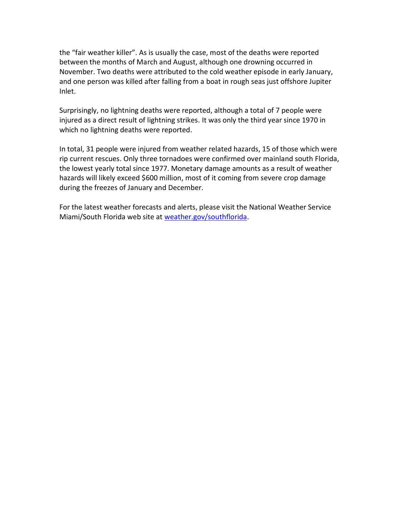the "fair weather killer". As is usually the case, most of the deaths were reported between the months of March and August, although one drowning occurred in November. Two deaths were attributed to the cold weather episode in early January, and one person was killed after falling from a boat in rough seas just offshore Jupiter Inlet.

Surprisingly, no lightning deaths were reported, although a total of 7 people were injured as a direct result of lightning strikes. It was only the third year since 1970 in which no lightning deaths were reported.

In total, 31 people were injured from weather related hazards, 15 of those which were rip current rescues. Only three tornadoes were confirmed over mainland south Florida, the lowest yearly total since 1977. Monetary damage amounts as a result of weather hazards will likely exceed \$600 million, most of it coming from severe crop damage during the freezes of January and December.

For the latest weather forecasts and alerts, please visit the National Weather Service Miami/South Florida web site at [weather.gov/southflorida.](http://weather.gov/southflorida)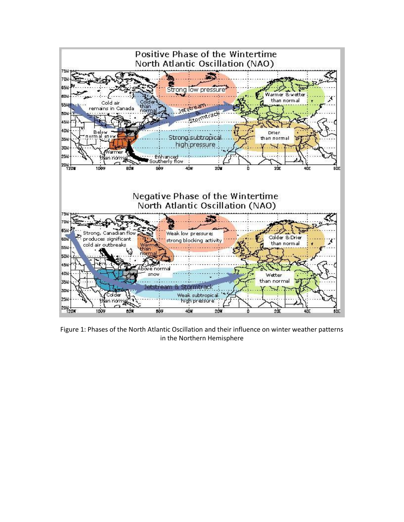

Figure 1: Phases of the North Atlantic Oscillation and their influence on winter weather patterns in the Northern Hemisphere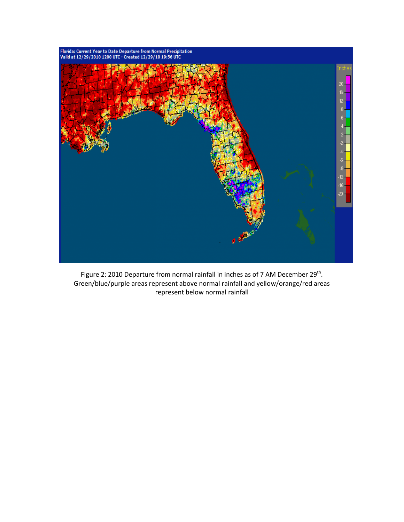

Figure 2: 2010 Departure from normal rainfall in inches as of 7 AM December 29<sup>th</sup>. Green/blue/purple areas represent above normal rainfall and yellow/orange/red areas represent below normal rainfall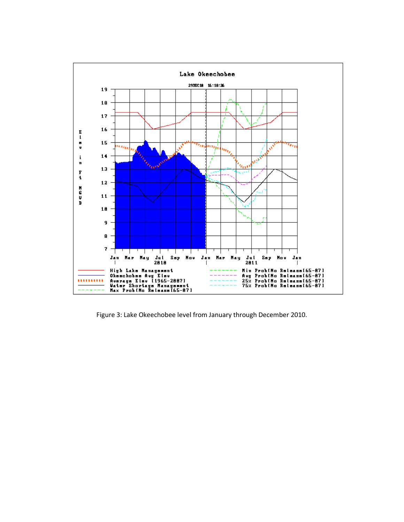

Figure 3: Lake Okeechobee level from January through December 2010.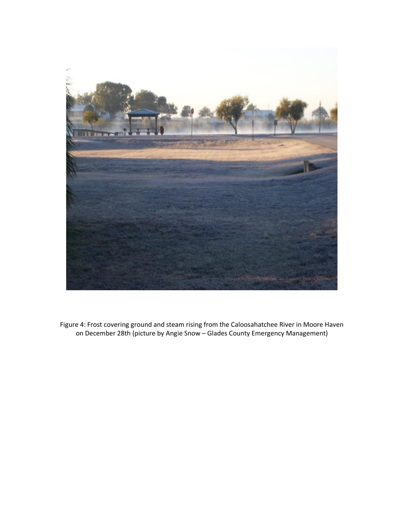

Figure 4: Frost covering ground and steam rising from the Caloosahatchee River in Moore Haven on December 28th (picture by Angie Snow – Glades County Emergency Management)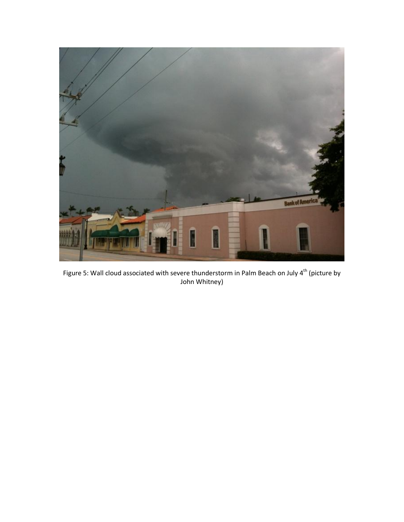

Figure 5: Wall cloud associated with severe thunderstorm in Palm Beach on July 4<sup>th</sup> (picture by John Whitney)